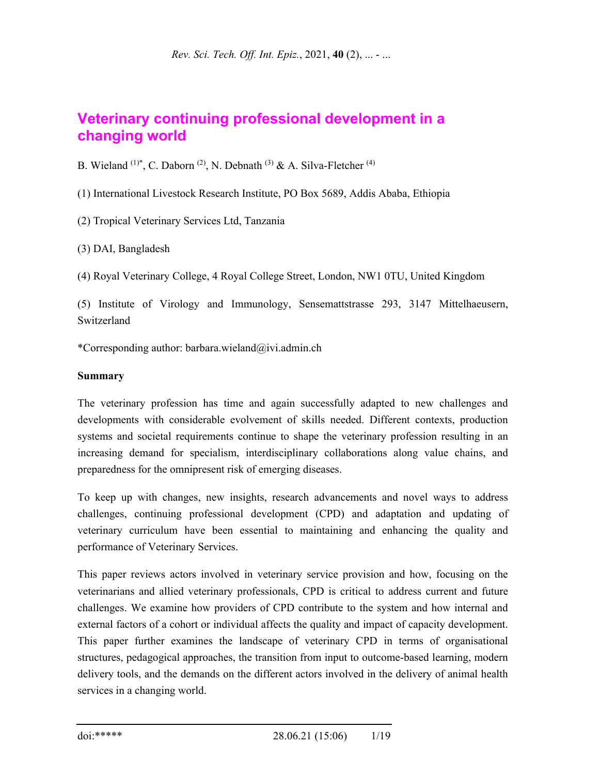# **Veterinary continuing professional development in a changing world**

B. Wieland <sup>(1)\*</sup>, C. Daborn<sup>(2)</sup>, N. Debnath<sup>(3)</sup> & A. Silva-Fletcher<sup>(4)</sup>

(1) International Livestock Research Institute, PO Box 5689, Addis Ababa, Ethiopia

(2) Tropical Veterinary Services Ltd, Tanzania

(3) DAI, Bangladesh

(4) Royal Veterinary College, 4 Royal College Street, London, NW1 0TU, United Kingdom

(5) Institute of Virology and Immunology, Sensemattstrasse 293, 3147 Mittelhaeusern, Switzerland

\*Corresponding author: barbara.wieland@ivi.admin.ch

#### **Summary**

The veterinary profession has time and again successfully adapted to new challenges and developments with considerable evolvement of skills needed. Different contexts, production systems and societal requirements continue to shape the veterinary profession resulting in an increasing demand for specialism, interdisciplinary collaborations along value chains, and preparedness for the omnipresent risk of emerging diseases.

To keep up with changes, new insights, research advancements and novel ways to address challenges, continuing professional development (CPD) and adaptation and updating of veterinary curriculum have been essential to maintaining and enhancing the quality and performance of Veterinary Services.

This paper reviews actors involved in veterinary service provision and how, focusing on the veterinarians and allied veterinary professionals, CPD is critical to address current and future challenges. We examine how providers of CPD contribute to the system and how internal and external factors of a cohort or individual affects the quality and impact of capacity development. This paper further examines the landscape of veterinary CPD in terms of organisational structures, pedagogical approaches, the transition from input to outcome-based learning, modern delivery tools, and the demands on the different actors involved in the delivery of animal health services in a changing world.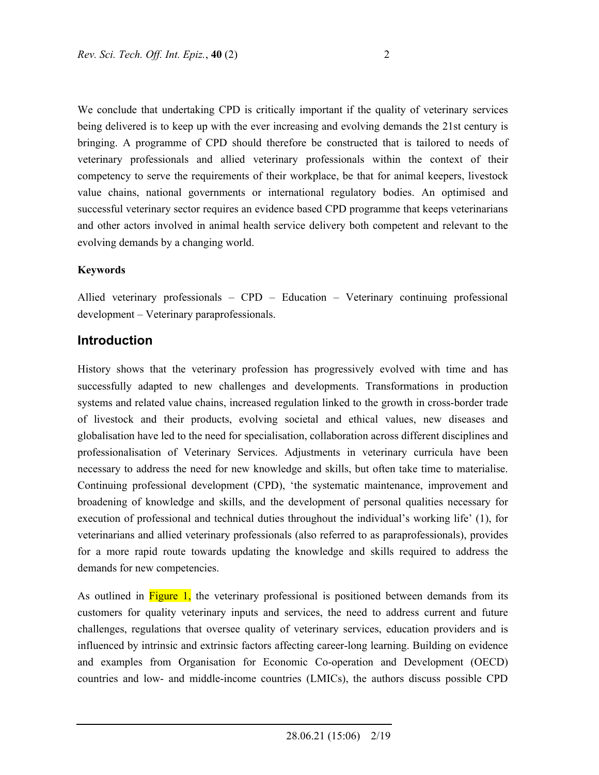We conclude that undertaking CPD is critically important if the quality of veterinary services being delivered is to keep up with the ever increasing and evolving demands the 21st century is bringing. A programme of CPD should therefore be constructed that is tailored to needs of veterinary professionals and allied veterinary professionals within the context of their competency to serve the requirements of their workplace, be that for animal keepers, livestock value chains, national governments or international regulatory bodies. An optimised and successful veterinary sector requires an evidence based CPD programme that keeps veterinarians and other actors involved in animal health service delivery both competent and relevant to the evolving demands by a changing world.

#### **Keywords**

Allied veterinary professionals – CPD – Education – Veterinary continuing professional development – Veterinary paraprofessionals.

#### **Introduction**

History shows that the veterinary profession has progressively evolved with time and has successfully adapted to new challenges and developments. Transformations in production systems and related value chains, increased regulation linked to the growth in cross-border trade of livestock and their products, evolving societal and ethical values, new diseases and globalisation have led to the need for specialisation, collaboration across different disciplines and professionalisation of Veterinary Services. Adjustments in veterinary curricula have been necessary to address the need for new knowledge and skills, but often take time to materialise. Continuing professional development (CPD), 'the systematic maintenance, improvement and broadening of knowledge and skills, and the development of personal qualities necessary for execution of professional and technical duties throughout the individual's working life' (1), for veterinarians and allied veterinary professionals (also referred to as paraprofessionals), provides for a more rapid route towards updating the knowledge and skills required to address the demands for new competencies.

As outlined in Figure 1, the veterinary professional is positioned between demands from its customers for quality veterinary inputs and services, the need to address current and future challenges, regulations that oversee quality of veterinary services, education providers and is influenced by intrinsic and extrinsic factors affecting career-long learning. Building on evidence and examples from Organisation for Economic Co-operation and Development (OECD) countries and low- and middle-income countries (LMICs), the authors discuss possible CPD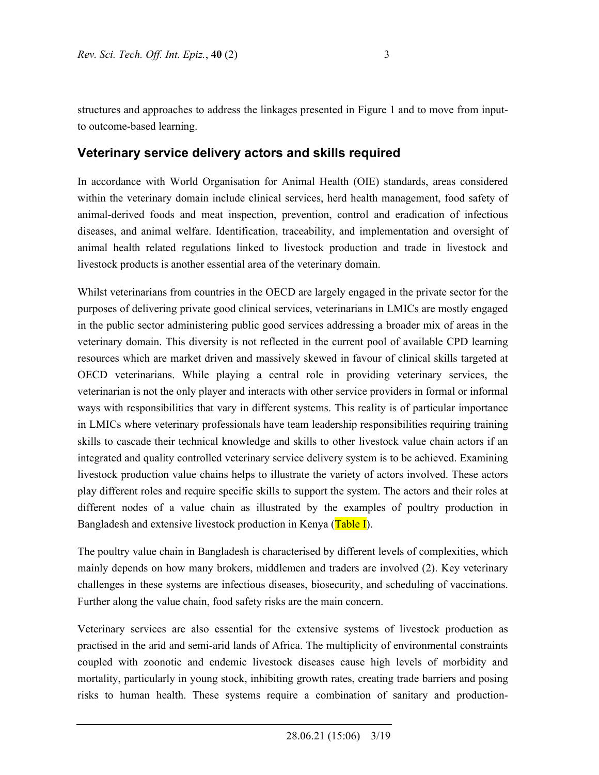structures and approaches to address the linkages presented in Figure 1 and to move from inputto outcome-based learning.

# **Veterinary service delivery actors and skills required**

In accordance with World Organisation for Animal Health (OIE) standards, areas considered within the veterinary domain include clinical services, herd health management, food safety of animal-derived foods and meat inspection, prevention, control and eradication of infectious diseases, and animal welfare. Identification, traceability, and implementation and oversight of animal health related regulations linked to livestock production and trade in livestock and livestock products is another essential area of the veterinary domain.

Whilst veterinarians from countries in the OECD are largely engaged in the private sector for the purposes of delivering private good clinical services, veterinarians in LMICs are mostly engaged in the public sector administering public good services addressing a broader mix of areas in the veterinary domain. This diversity is not reflected in the current pool of available CPD learning resources which are market driven and massively skewed in favour of clinical skills targeted at OECD veterinarians. While playing a central role in providing veterinary services, the veterinarian is not the only player and interacts with other service providers in formal or informal ways with responsibilities that vary in different systems. This reality is of particular importance in LMICs where veterinary professionals have team leadership responsibilities requiring training skills to cascade their technical knowledge and skills to other livestock value chain actors if an integrated and quality controlled veterinary service delivery system is to be achieved. Examining livestock production value chains helps to illustrate the variety of actors involved. These actors play different roles and require specific skills to support the system. The actors and their roles at different nodes of a value chain as illustrated by the examples of poultry production in Bangladesh and extensive livestock production in Kenya (Table I).

The poultry value chain in Bangladesh is characterised by different levels of complexities, which mainly depends on how many brokers, middlemen and traders are involved (2). Key veterinary challenges in these systems are infectious diseases, biosecurity, and scheduling of vaccinations. Further along the value chain, food safety risks are the main concern.

Veterinary services are also essential for the extensive systems of livestock production as practised in the arid and semi-arid lands of Africa. The multiplicity of environmental constraints coupled with zoonotic and endemic livestock diseases cause high levels of morbidity and mortality, particularly in young stock, inhibiting growth rates, creating trade barriers and posing risks to human health. These systems require a combination of sanitary and production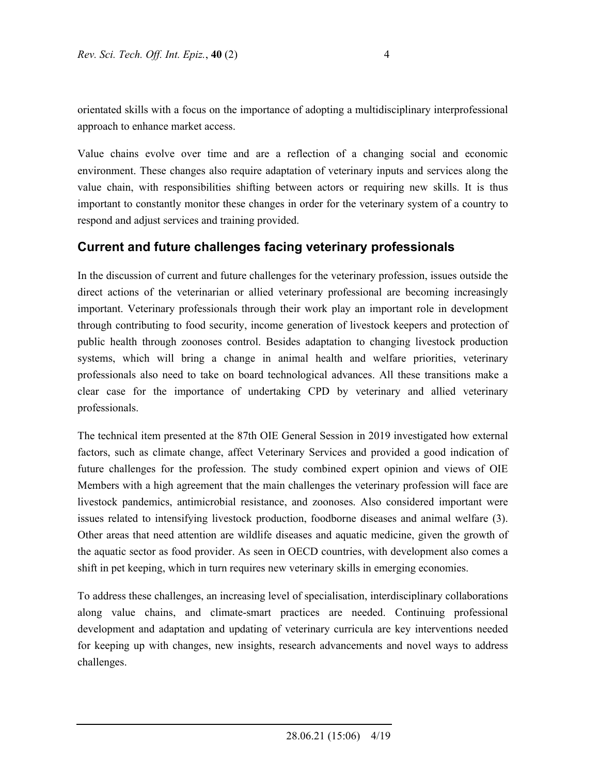orientated skills with a focus on the importance of adopting a multidisciplinary interprofessional approach to enhance market access.

Value chains evolve over time and are a reflection of a changing social and economic environment. These changes also require adaptation of veterinary inputs and services along the value chain, with responsibilities shifting between actors or requiring new skills. It is thus important to constantly monitor these changes in order for the veterinary system of a country to respond and adjust services and training provided.

## **Current and future challenges facing veterinary professionals**

In the discussion of current and future challenges for the veterinary profession, issues outside the direct actions of the veterinarian or allied veterinary professional are becoming increasingly important. Veterinary professionals through their work play an important role in development through contributing to food security, income generation of livestock keepers and protection of public health through zoonoses control. Besides adaptation to changing livestock production systems, which will bring a change in animal health and welfare priorities, veterinary professionals also need to take on board technological advances. All these transitions make a clear case for the importance of undertaking CPD by veterinary and allied veterinary professionals.

The technical item presented at the 87th OIE General Session in 2019 investigated how external factors, such as climate change, affect Veterinary Services and provided a good indication of future challenges for the profession. The study combined expert opinion and views of OIE Members with a high agreement that the main challenges the veterinary profession will face are livestock pandemics, antimicrobial resistance, and zoonoses. Also considered important were issues related to intensifying livestock production, foodborne diseases and animal welfare (3). Other areas that need attention are wildlife diseases and aquatic medicine, given the growth of the aquatic sector as food provider. As seen in OECD countries, with development also comes a shift in pet keeping, which in turn requires new veterinary skills in emerging economies.

To address these challenges, an increasing level of specialisation, interdisciplinary collaborations along value chains, and climate-smart practices are needed. Continuing professional development and adaptation and updating of veterinary curricula are key interventions needed for keeping up with changes, new insights, research advancements and novel ways to address challenges.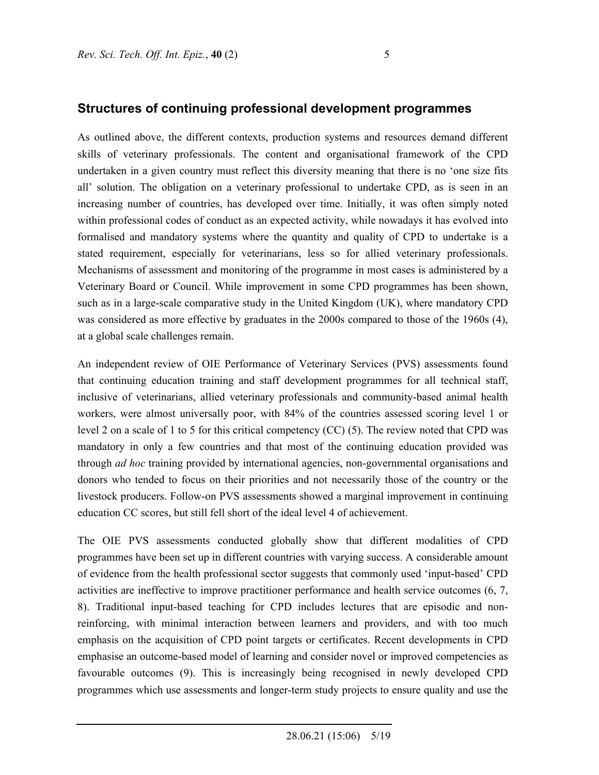#### **Structures of continuing professional development programmes**

As outlined above, the different contexts, production systems and resources demand different skills of veterinary professionals. The content and organisational framework of the CPD undertaken in a given country must reflect this diversity meaning that there is no 'one size fits all' solution. The obligation on a veterinary professional to undertake CPD, as is seen in an increasing number of countries, has developed over time. Initially, it was often simply noted within professional codes of conduct as an expected activity, while nowadays it has evolved into formalised and mandatory systems where the quantity and quality of CPD to undertake is a stated requirement, especially for veterinarians, less so for allied veterinary professionals. Mechanisms of assessment and monitoring of the programme in most cases is administered by a Veterinary Board or Council. While improvement in some CPD programmes has been shown, such as in a large-scale comparative study in the United Kingdom (UK), where mandatory CPD was considered as more effective by graduates in the 2000s compared to those of the 1960s (4), at a global scale challenges remain.

An independent review of OIE Performance of Veterinary Services (PVS) assessments found that continuing education training and staff development programmes for all technical staff, inclusive of veterinarians, allied veterinary professionals and community-based animal health workers, were almost universally poor, with 84% of the countries assessed scoring level 1 or level 2 on a scale of 1 to 5 for this critical competency (CC) (5). The review noted that CPD was mandatory in only a few countries and that most of the continuing education provided was through *ad hoc* training provided by international agencies, non-governmental organisations and donors who tended to focus on their priorities and not necessarily those of the country or the livestock producers. Follow-on PVS assessments showed a marginal improvement in continuing education CC scores, but still fell short of the ideal level 4 of achievement.

The OIE PVS assessments conducted globally show that different modalities of CPD programmes have been set up in different countries with varying success. A considerable amount of evidence from the health professional sector suggests that commonly used 'input-based' CPD activities are ineffective to improve practitioner performance and health service outcomes (6, 7, 8). Traditional input-based teaching for CPD includes lectures that are episodic and nonreinforcing, with minimal interaction between learners and providers, and with too much emphasis on the acquisition of CPD point targets or certificates. Recent developments in CPD emphasise an outcome-based model of learning and consider novel or improved competencies as favourable outcomes (9). This is increasingly being recognised in newly developed CPD programmes which use assessments and longer-term study projects to ensure quality and use the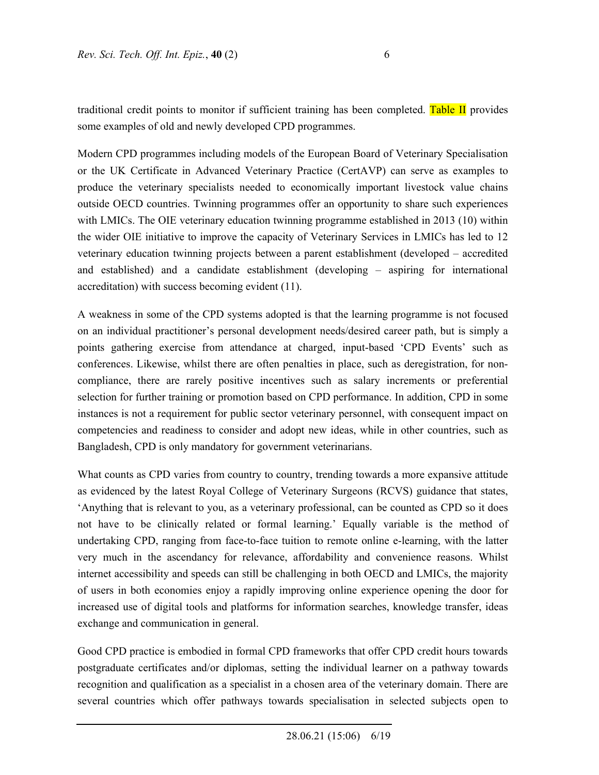traditional credit points to monitor if sufficient training has been completed. Table II provides some examples of old and newly developed CPD programmes.

Modern CPD programmes including models of the European Board of Veterinary Specialisation or the UK Certificate in Advanced Veterinary Practice (CertAVP) can serve as examples to produce the veterinary specialists needed to economically important livestock value chains outside OECD countries. Twinning programmes offer an opportunity to share such experiences with LMICs. The OIE veterinary education twinning programme established in 2013 (10) within the wider OIE initiative to improve the capacity of Veterinary Services in LMICs has led to 12 veterinary education twinning projects between a parent establishment (developed – accredited and established) and a candidate establishment (developing – aspiring for international accreditation) with success becoming evident (11).

A weakness in some of the CPD systems adopted is that the learning programme is not focused on an individual practitioner's personal development needs/desired career path, but is simply a points gathering exercise from attendance at charged, input-based 'CPD Events' such as conferences. Likewise, whilst there are often penalties in place, such as deregistration, for noncompliance, there are rarely positive incentives such as salary increments or preferential selection for further training or promotion based on CPD performance. In addition, CPD in some instances is not a requirement for public sector veterinary personnel, with consequent impact on competencies and readiness to consider and adopt new ideas, while in other countries, such as Bangladesh, CPD is only mandatory for government veterinarians.

What counts as CPD varies from country to country, trending towards a more expansive attitude as evidenced by the latest Royal College of Veterinary Surgeons (RCVS) guidance that states, 'Anything that is relevant to you, as a veterinary professional, can be counted as CPD so it does not have to be clinically related or formal learning.' Equally variable is the method of undertaking CPD, ranging from face-to-face tuition to remote online e-learning, with the latter very much in the ascendancy for relevance, affordability and convenience reasons. Whilst internet accessibility and speeds can still be challenging in both OECD and LMICs, the majority of users in both economies enjoy a rapidly improving online experience opening the door for increased use of digital tools and platforms for information searches, knowledge transfer, ideas exchange and communication in general.

Good CPD practice is embodied in formal CPD frameworks that offer CPD credit hours towards postgraduate certificates and/or diplomas, setting the individual learner on a pathway towards recognition and qualification as a specialist in a chosen area of the veterinary domain. There are several countries which offer pathways towards specialisation in selected subjects open to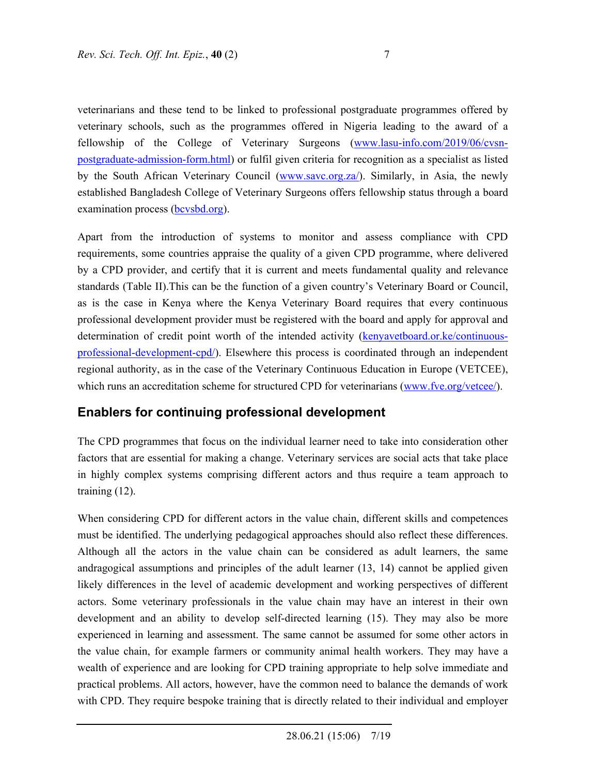veterinarians and these tend to be linked to professional postgraduate programmes offered by veterinary schools, such as the programmes offered in Nigeria leading to the award of a fellowship of the College of Veterinary Surgeons (www.lasu-info.com/2019/06/cvsnpostgraduate-admission-form.html) or fulfil given criteria for recognition as a specialist as listed by the South African Veterinary Council (www.savc.org.za/). Similarly, in Asia, the newly established Bangladesh College of Veterinary Surgeons offers fellowship status through a board examination process (**bcvsbd.org**).

Apart from the introduction of systems to monitor and assess compliance with CPD requirements, some countries appraise the quality of a given CPD programme, where delivered by a CPD provider, and certify that it is current and meets fundamental quality and relevance standards (Table II).This can be the function of a given country's Veterinary Board or Council, as is the case in Kenya where the Kenya Veterinary Board requires that every continuous professional development provider must be registered with the board and apply for approval and determination of credit point worth of the intended activity (kenyavetboard.or.ke/continuousprofessional-development-cpd/). Elsewhere this process is coordinated through an independent regional authority, as in the case of the Veterinary Continuous Education in Europe (VETCEE), which runs an accreditation scheme for structured CPD for veterinarians (www.fve.org/vetcee/).

### **Enablers for continuing professional development**

The CPD programmes that focus on the individual learner need to take into consideration other factors that are essential for making a change. Veterinary services are social acts that take place in highly complex systems comprising different actors and thus require a team approach to training (12).

When considering CPD for different actors in the value chain, different skills and competences must be identified. The underlying pedagogical approaches should also reflect these differences. Although all the actors in the value chain can be considered as adult learners, the same andragogical assumptions and principles of the adult learner (13, 14) cannot be applied given likely differences in the level of academic development and working perspectives of different actors. Some veterinary professionals in the value chain may have an interest in their own development and an ability to develop self-directed learning (15). They may also be more experienced in learning and assessment. The same cannot be assumed for some other actors in the value chain, for example farmers or community animal health workers. They may have a wealth of experience and are looking for CPD training appropriate to help solve immediate and practical problems. All actors, however, have the common need to balance the demands of work with CPD. They require bespoke training that is directly related to their individual and employer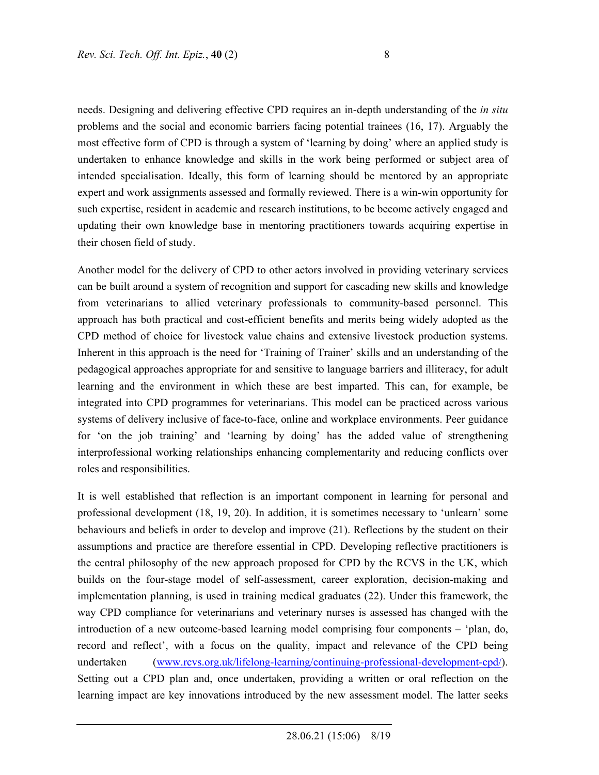needs. Designing and delivering effective CPD requires an in-depth understanding of the *in situ* problems and the social and economic barriers facing potential trainees (16, 17). Arguably the most effective form of CPD is through a system of 'learning by doing' where an applied study is undertaken to enhance knowledge and skills in the work being performed or subject area of intended specialisation. Ideally, this form of learning should be mentored by an appropriate expert and work assignments assessed and formally reviewed. There is a win-win opportunity for such expertise, resident in academic and research institutions, to be become actively engaged and updating their own knowledge base in mentoring practitioners towards acquiring expertise in their chosen field of study.

Another model for the delivery of CPD to other actors involved in providing veterinary services can be built around a system of recognition and support for cascading new skills and knowledge from veterinarians to allied veterinary professionals to community-based personnel. This approach has both practical and cost-efficient benefits and merits being widely adopted as the CPD method of choice for livestock value chains and extensive livestock production systems. Inherent in this approach is the need for 'Training of Trainer' skills and an understanding of the pedagogical approaches appropriate for and sensitive to language barriers and illiteracy, for adult learning and the environment in which these are best imparted. This can, for example, be integrated into CPD programmes for veterinarians. This model can be practiced across various systems of delivery inclusive of face-to-face, online and workplace environments. Peer guidance for 'on the job training' and 'learning by doing' has the added value of strengthening interprofessional working relationships enhancing complementarity and reducing conflicts over roles and responsibilities.

It is well established that reflection is an important component in learning for personal and professional development (18, 19, 20). In addition, it is sometimes necessary to 'unlearn' some behaviours and beliefs in order to develop and improve (21). Reflections by the student on their assumptions and practice are therefore essential in CPD. Developing reflective practitioners is the central philosophy of the new approach proposed for CPD by the RCVS in the UK, which builds on the four-stage model of self-assessment, career exploration, decision-making and implementation planning, is used in training medical graduates (22). Under this framework, the way CPD compliance for veterinarians and veterinary nurses is assessed has changed with the introduction of a new outcome-based learning model comprising four components – 'plan, do, record and reflect', with a focus on the quality, impact and relevance of the CPD being undertaken (www.rcvs.org.uk/lifelong-learning/continuing-professional-development-cpd/). Setting out a CPD plan and, once undertaken, providing a written or oral reflection on the learning impact are key innovations introduced by the new assessment model. The latter seeks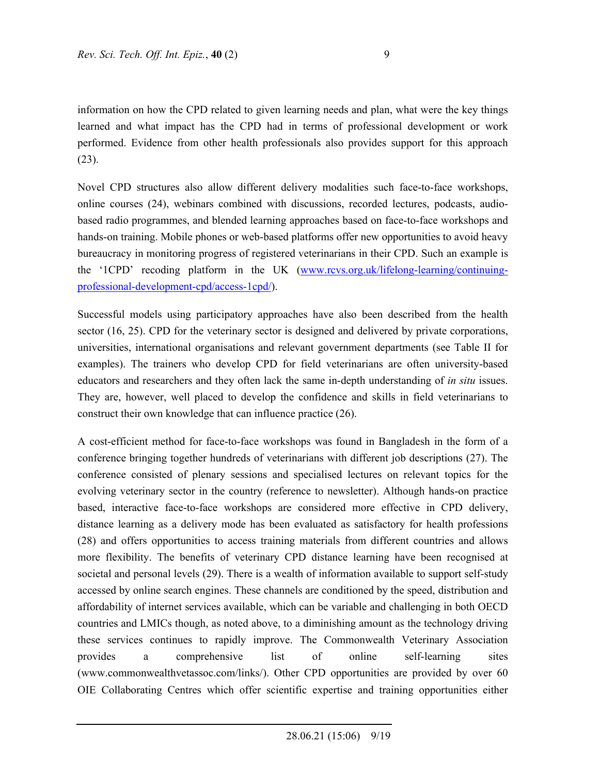information on how the CPD related to given learning needs and plan, what were the key things learned and what impact has the CPD had in terms of professional development or work performed. Evidence from other health professionals also provides support for this approach (23).

Novel CPD structures also allow different delivery modalities such face-to-face workshops, online courses (24), webinars combined with discussions, recorded lectures, podcasts, audiobased radio programmes, and blended learning approaches based on face-to-face workshops and hands-on training. Mobile phones or web-based platforms offer new opportunities to avoid heavy bureaucracy in monitoring progress of registered veterinarians in their CPD. Such an example is the '1CPD' recoding platform in the UK (www.rcvs.org.uk/lifelong-learning/continuingprofessional-development-cpd/access-1cpd/).

Successful models using participatory approaches have also been described from the health sector (16, 25). CPD for the veterinary sector is designed and delivered by private corporations, universities, international organisations and relevant government departments (see Table II for examples). The trainers who develop CPD for field veterinarians are often university-based educators and researchers and they often lack the same in-depth understanding of *in situ* issues. They are, however, well placed to develop the confidence and skills in field veterinarians to construct their own knowledge that can influence practice (26).

A cost-efficient method for face-to-face workshops was found in Bangladesh in the form of a conference bringing together hundreds of veterinarians with different job descriptions (27). The conference consisted of plenary sessions and specialised lectures on relevant topics for the evolving veterinary sector in the country (reference to newsletter). Although hands-on practice based, interactive face-to-face workshops are considered more effective in CPD delivery, distance learning as a delivery mode has been evaluated as satisfactory for health professions (28) and offers opportunities to access training materials from different countries and allows more flexibility. The benefits of veterinary CPD distance learning have been recognised at societal and personal levels (29). There is a wealth of information available to support self-study accessed by online search engines. These channels are conditioned by the speed, distribution and affordability of internet services available, which can be variable and challenging in both OECD countries and LMICs though, as noted above, to a diminishing amount as the technology driving these services continues to rapidly improve. The Commonwealth Veterinary Association provides a comprehensive list of online self-learning sites (www.commonwealthvetassoc.com/links/). Other CPD opportunities are provided by over 60 OIE Collaborating Centres which offer scientific expertise and training opportunities either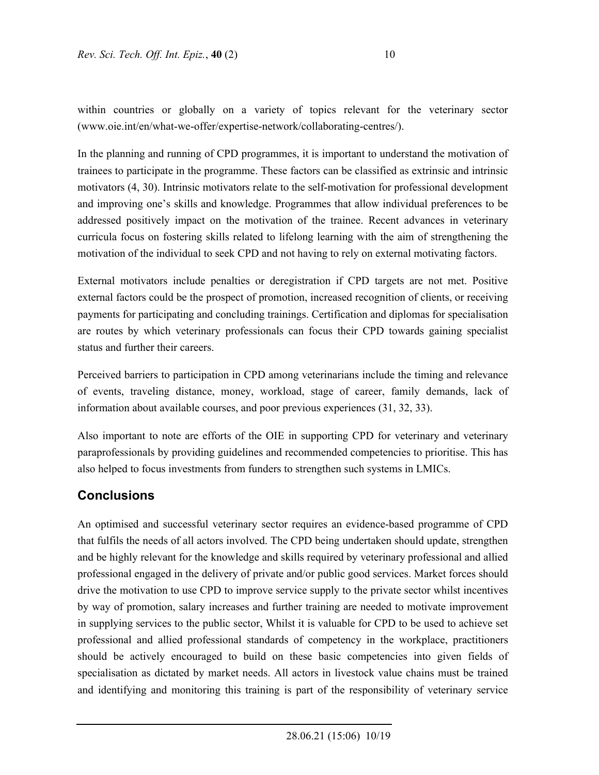within countries or globally on a variety of topics relevant for the veterinary sector (www.oie.int/en/what-we-offer/expertise-network/collaborating-centres/).

In the planning and running of CPD programmes, it is important to understand the motivation of trainees to participate in the programme. These factors can be classified as extrinsic and intrinsic motivators (4, 30). Intrinsic motivators relate to the self-motivation for professional development and improving one's skills and knowledge. Programmes that allow individual preferences to be addressed positively impact on the motivation of the trainee. Recent advances in veterinary curricula focus on fostering skills related to lifelong learning with the aim of strengthening the motivation of the individual to seek CPD and not having to rely on external motivating factors.

External motivators include penalties or deregistration if CPD targets are not met. Positive external factors could be the prospect of promotion, increased recognition of clients, or receiving payments for participating and concluding trainings. Certification and diplomas for specialisation are routes by which veterinary professionals can focus their CPD towards gaining specialist status and further their careers.

Perceived barriers to participation in CPD among veterinarians include the timing and relevance of events, traveling distance, money, workload, stage of career, family demands, lack of information about available courses, and poor previous experiences (31, 32, 33).

Also important to note are efforts of the OIE in supporting CPD for veterinary and veterinary paraprofessionals by providing guidelines and recommended competencies to prioritise. This has also helped to focus investments from funders to strengthen such systems in LMICs.

### **Conclusions**

An optimised and successful veterinary sector requires an evidence-based programme of CPD that fulfils the needs of all actors involved. The CPD being undertaken should update, strengthen and be highly relevant for the knowledge and skills required by veterinary professional and allied professional engaged in the delivery of private and/or public good services. Market forces should drive the motivation to use CPD to improve service supply to the private sector whilst incentives by way of promotion, salary increases and further training are needed to motivate improvement in supplying services to the public sector, Whilst it is valuable for CPD to be used to achieve set professional and allied professional standards of competency in the workplace, practitioners should be actively encouraged to build on these basic competencies into given fields of specialisation as dictated by market needs. All actors in livestock value chains must be trained and identifying and monitoring this training is part of the responsibility of veterinary service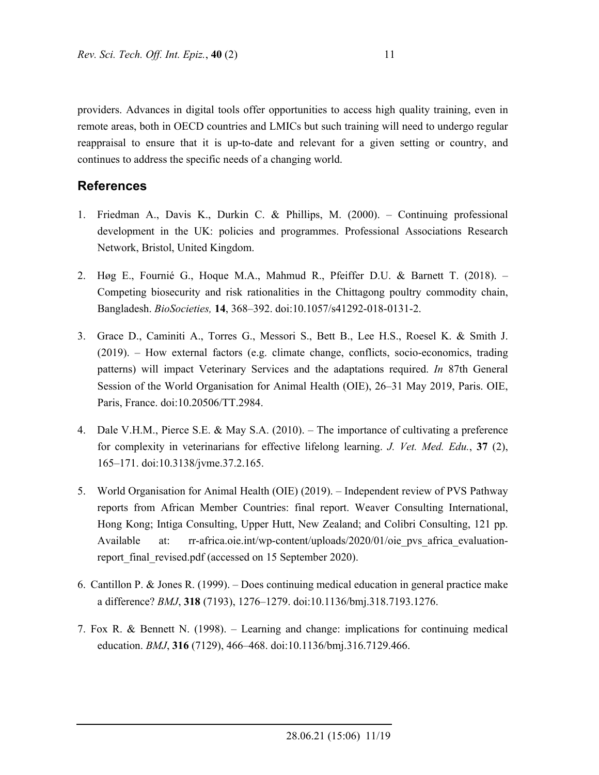providers. Advances in digital tools offer opportunities to access high quality training, even in remote areas, both in OECD countries and LMICs but such training will need to undergo regular reappraisal to ensure that it is up-to-date and relevant for a given setting or country, and continues to address the specific needs of a changing world.

### **References**

- 1. Friedman A., Davis K., Durkin C. & Phillips, M. (2000). Continuing professional development in the UK: policies and programmes. Professional Associations Research Network, Bristol, United Kingdom.
- 2. Høg E., Fournié G., Hoque M.A., Mahmud R., Pfeiffer D.U. & Barnett T. (2018). Competing biosecurity and risk rationalities in the Chittagong poultry commodity chain, Bangladesh. *BioSocieties,* **14**, 368–392. doi:10.1057/s41292-018-0131-2.
- 3. Grace D., Caminiti A., Torres G., Messori S., Bett B., Lee H.S., Roesel K. & Smith J. (2019). – How external factors (e.g. climate change, conflicts, socio-economics, trading patterns) will impact Veterinary Services and the adaptations required. *In* 87th General Session of the World Organisation for Animal Health (OIE), 26–31 May 2019, Paris. OIE, Paris, France. doi:10.20506/TT.2984.
- 4. Dale V.H.M., Pierce S.E. & May S.A. (2010). The importance of cultivating a preference for complexity in veterinarians for effective lifelong learning. *J. Vet. Med. Edu.*, **37** (2), 165–171. doi:10.3138/jvme.37.2.165.
- 5. World Organisation for Animal Health (OIE) (2019). Independent review of PVS Pathway reports from African Member Countries: final report. Weaver Consulting International, Hong Kong; Intiga Consulting, Upper Hutt, New Zealand; and Colibri Consulting, 121 pp. Available at: rr-africa.oie.int/wp-content/uploads/2020/01/oie pvs africa evaluationreport final revised.pdf (accessed on 15 September 2020).
- 6. Cantillon P. & Jones R. (1999). Does continuing medical education in general practice make a difference? *BMJ*, **318** (7193), 1276–1279. doi:10.1136/bmj.318.7193.1276.
- 7. Fox R. & Bennett N. (1998). Learning and change: implications for continuing medical education. *BMJ*, **316** (7129), 466–468. doi:10.1136/bmj.316.7129.466.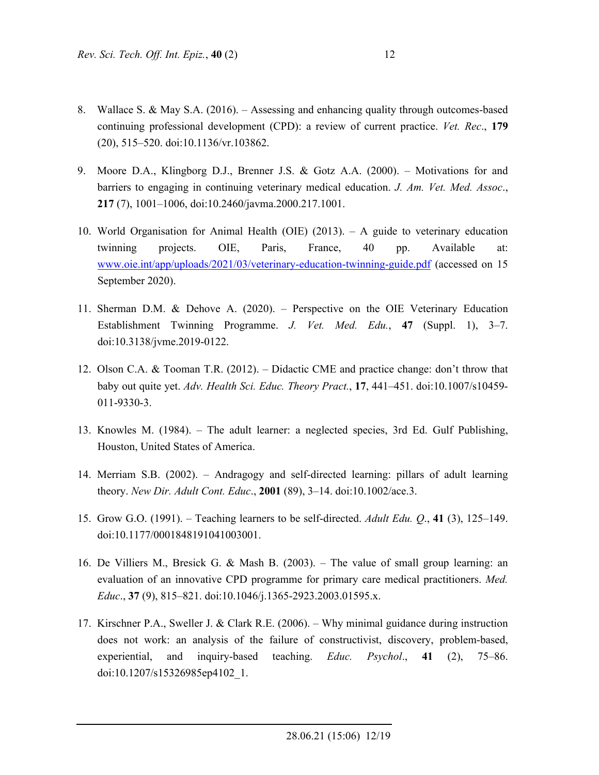- 8. Wallace S. & May S.A. (2016). Assessing and enhancing quality through outcomes-based continuing professional development (CPD): a review of current practice. *Vet. Rec*., **179**  (20), 515–520. doi:10.1136/vr.103862.
- 9. Moore D.A., Klingborg D.J., Brenner J.S. & Gotz A.A. (2000). Motivations for and barriers to engaging in continuing veterinary medical education. *J. Am. Vet. Med. Assoc*., **217** (7), 1001–1006, doi:10.2460/javma.2000.217.1001.
- 10. World Organisation for Animal Health (OIE) (2013). A guide to veterinary education twinning projects. OIE, Paris, France, 40 pp. Available at: www.oie.int/app/uploads/2021/03/veterinary-education-twinning-guide.pdf (accessed on 15 September 2020).
- 11. Sherman D.M. & Dehove A. (2020). Perspective on the OIE Veterinary Education Establishment Twinning Programme. *J. Vet. Med. Edu.*, **47** (Suppl. 1), 3–7. doi:10.3138/jvme.2019-0122.
- 12. Olson C.A. & Tooman T.R. (2012). Didactic CME and practice change: don't throw that baby out quite yet. *Adv. Health Sci. Educ. Theory Pract.*, **17**, 441–451. doi:10.1007/s10459- 011-9330-3.
- 13. Knowles M. (1984). The adult learner: a neglected species, 3rd Ed. Gulf Publishing, Houston, United States of America.
- 14. Merriam S.B. (2002). Andragogy and self-directed learning: pillars of adult learning theory. *New Dir. Adult Cont. Educ*., **2001** (89), 3–14. doi:10.1002/ace.3.
- 15. Grow G.O. (1991). Teaching learners to be self-directed. *Adult Edu. Q*., **41** (3), 125–149. doi:10.1177/0001848191041003001.
- 16. De Villiers M., Bresick G. & Mash B. (2003). The value of small group learning: an evaluation of an innovative CPD programme for primary care medical practitioners. *Med. Educ*., **37** (9), 815–821. doi:10.1046/j.1365-2923.2003.01595.x.
- 17. Kirschner P.A., Sweller J. & Clark R.E. (2006). Why minimal guidance during instruction does not work: an analysis of the failure of constructivist, discovery, problem-based, experiential, and inquiry-based teaching. *Educ. Psychol*., **41** (2), 75–86. doi:10.1207/s15326985ep4102\_1.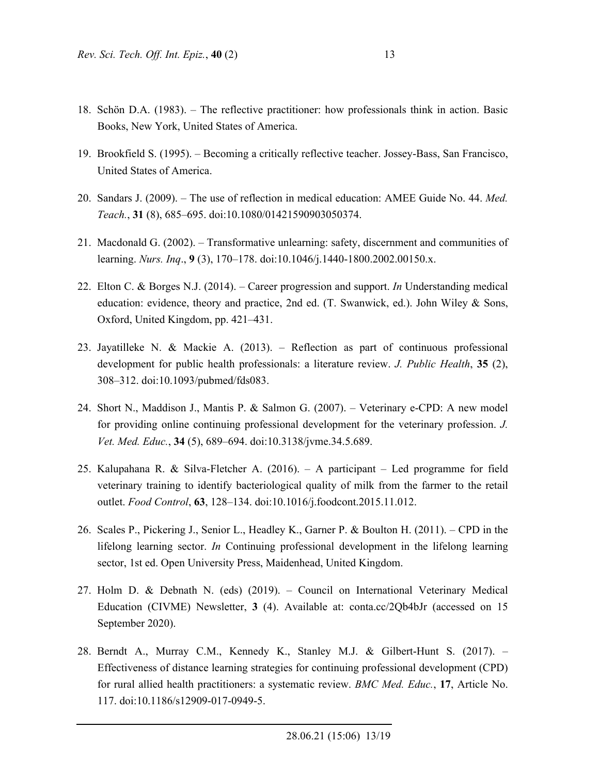- 18. Schön D.A. (1983). The reflective practitioner: how professionals think in action. Basic Books, New York, United States of America.
- 19. Brookfield S. (1995). Becoming a critically reflective teacher. Jossey-Bass, San Francisco, United States of America.
- 20. Sandars J. (2009). The use of reflection in medical education: AMEE Guide No. 44. *Med. Teach.*, **31** (8), 685–695. doi:10.1080/01421590903050374.
- 21. Macdonald G. (2002). Transformative unlearning: safety, discernment and communities of learning. *Nurs. Inq*., **9** (3), 170–178. doi:10.1046/j.1440-1800.2002.00150.x.
- 22. Elton C. & Borges N.J. (2014). Career progression and support. *In* Understanding medical education: evidence, theory and practice, 2nd ed. (T. Swanwick, ed.). John Wiley & Sons, Oxford, United Kingdom, pp. 421–431.
- 23. Jayatilleke N. & Mackie A. (2013). Reflection as part of continuous professional development for public health professionals: a literature review. *J. Public Health*, **35** (2), 308–312. doi:10.1093/pubmed/fds083.
- 24. Short N., Maddison J., Mantis P. & Salmon G. (2007). Veterinary e-CPD: A new model for providing online continuing professional development for the veterinary profession. *J. Vet. Med. Educ.*, **34** (5), 689–694. doi:10.3138/jvme.34.5.689.
- 25. Kalupahana R. & Silva-Fletcher A. (2016). A participant Led programme for field veterinary training to identify bacteriological quality of milk from the farmer to the retail outlet. *Food Control*, **63**, 128–134. doi:10.1016/j.foodcont.2015.11.012.
- 26. Scales P., Pickering J., Senior L., Headley K., Garner P. & Boulton H. (2011). CPD in the lifelong learning sector. *In* Continuing professional development in the lifelong learning sector, 1st ed. Open University Press, Maidenhead, United Kingdom.
- 27. Holm D. & Debnath N. (eds) (2019). Council on International Veterinary Medical Education (CIVME) Newsletter, **3** (4). Available at: conta.cc/2Qb4bJr (accessed on 15 September 2020).
- 28. Berndt A., Murray C.M., Kennedy K., Stanley M.J. & Gilbert-Hunt S. (2017). Effectiveness of distance learning strategies for continuing professional development (CPD) for rural allied health practitioners: a systematic review. *BMC Med. Educ.*, **17**, Article No. 117. doi:10.1186/s12909-017-0949-5.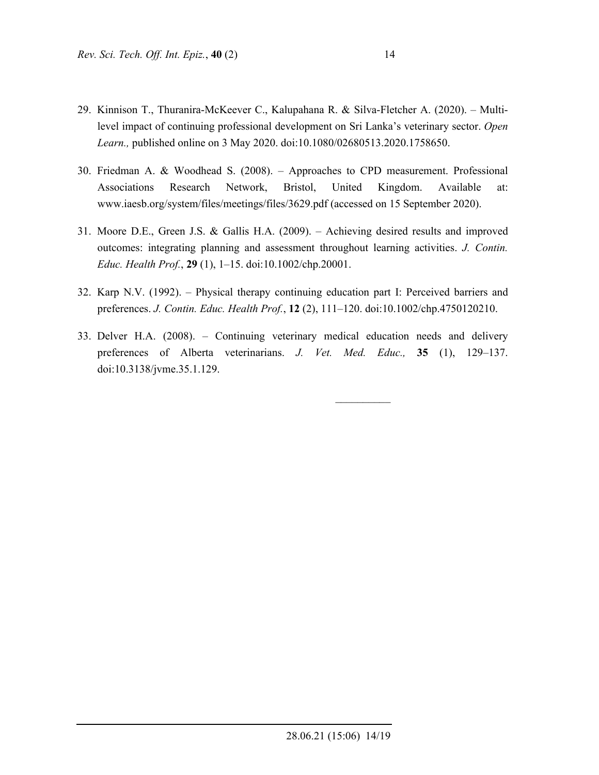- 29. Kinnison T., Thuranira-McKeever C., Kalupahana R. & Silva-Fletcher A. (2020). Multilevel impact of continuing professional development on Sri Lanka's veterinary sector. *Open Learn.,* published online on 3 May 2020. doi:10.1080/02680513.2020.1758650.
- 30. Friedman A. & Woodhead S. (2008). Approaches to CPD measurement. Professional Associations Research Network, Bristol, United Kingdom. Available at: www.iaesb.org/system/files/meetings/files/3629.pdf (accessed on 15 September 2020).
- 31. Moore D.E., Green J.S. & Gallis H.A. (2009). Achieving desired results and improved outcomes: integrating planning and assessment throughout learning activities. *J. Contin. Educ. Health Prof.*, **29** (1), 1–15. doi:10.1002/chp.20001.
- 32. Karp N.V. (1992). Physical therapy continuing education part I: Perceived barriers and preferences. *J. Contin. Educ. Health Prof.*, **12** (2), 111–120. doi:10.1002/chp.4750120210.
- 33. Delver H.A. (2008). Continuing veterinary medical education needs and delivery preferences of Alberta veterinarians. *J. Vet. Med. Educ.,* **35** (1), 129–137. doi:10.3138/jvme.35.1.129.

 $\mathcal{L}_\text{max}$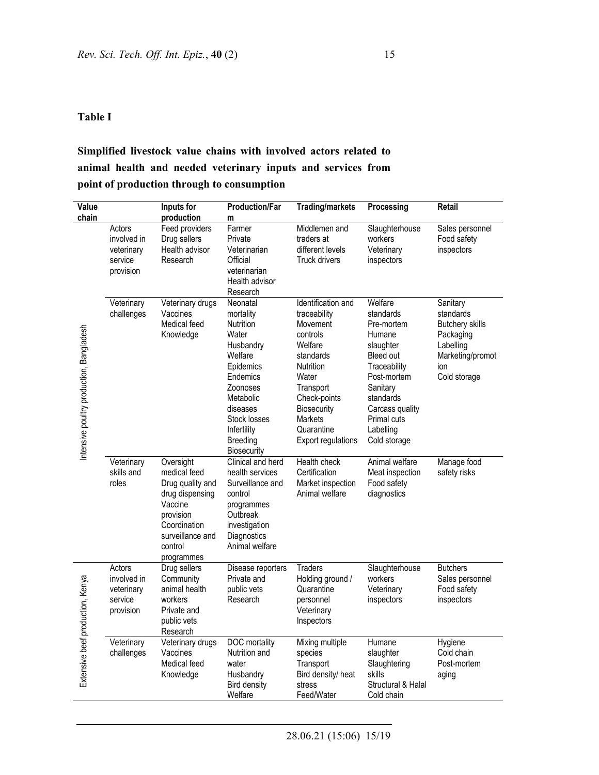#### **Table I**

# **Simplified livestock value chains with involved actors related to animal health and needed veterinary inputs and services from point of production through to consumption**

| Value                                    |                                                             | Inputs for                                                                                                                                            | <b>Production/Far</b>                                                                                                                                                                              | <b>Trading/markets</b>                                                                                                                                                                                            | Processing                                                                                                                                                                                           | Retail                                                                                                               |
|------------------------------------------|-------------------------------------------------------------|-------------------------------------------------------------------------------------------------------------------------------------------------------|----------------------------------------------------------------------------------------------------------------------------------------------------------------------------------------------------|-------------------------------------------------------------------------------------------------------------------------------------------------------------------------------------------------------------------|------------------------------------------------------------------------------------------------------------------------------------------------------------------------------------------------------|----------------------------------------------------------------------------------------------------------------------|
| chain                                    |                                                             | production                                                                                                                                            | m                                                                                                                                                                                                  |                                                                                                                                                                                                                   |                                                                                                                                                                                                      |                                                                                                                      |
| Intensive poultry production, Bangladesh | Actors<br>involved in<br>veterinary<br>service<br>provision | Feed providers<br>Drug sellers<br>Health advisor<br>Research                                                                                          | Farmer<br>Private<br>Veterinarian<br>Official<br>veterinarian<br>Health advisor<br>Research                                                                                                        | Middlemen and<br>traders at<br>different levels<br><b>Truck drivers</b>                                                                                                                                           | Slaughterhouse<br>workers<br>Veterinary<br>inspectors                                                                                                                                                | Sales personnel<br>Food safety<br>inspectors                                                                         |
|                                          | Veterinary<br>challenges                                    | Veterinary drugs<br>Vaccines<br>Medical feed<br>Knowledge                                                                                             | Neonatal<br>mortality<br><b>Nutrition</b><br>Water<br>Husbandry<br>Welfare<br>Epidemics<br>Endemics<br>Zoonoses<br>Metabolic<br>diseases<br>Stock losses<br>Infertility<br>Breeding<br>Biosecurity | Identification and<br>traceability<br>Movement<br>controls<br>Welfare<br>standards<br><b>Nutrition</b><br>Water<br>Transport<br>Check-points<br>Biosecurity<br><b>Markets</b><br>Quarantine<br>Export regulations | Welfare<br>standards<br>Pre-mortem<br>Humane<br>slaughter<br>Bleed out<br>Traceability<br>Post-mortem<br>Sanitary<br>standards<br>Carcass quality<br><b>Primal cuts</b><br>Labelling<br>Cold storage | Sanitary<br>standards<br><b>Butchery skills</b><br>Packaging<br>Labelling<br>Marketing/promot<br>ion<br>Cold storage |
|                                          | Veterinary<br>skills and<br>roles                           | Oversight<br>medical feed<br>Drug quality and<br>drug dispensing<br>Vaccine<br>provision<br>Coordination<br>surveillance and<br>control<br>programmes | Clinical and herd<br>health services<br>Surveillance and<br>control<br>programmes<br>Outbreak<br>investigation<br>Diagnostics<br>Animal welfare                                                    | Health check<br>Certification<br>Market inspection<br>Animal welfare                                                                                                                                              | Animal welfare<br>Meat inspection<br>Food safety<br>diagnostics                                                                                                                                      | Manage food<br>safety risks                                                                                          |
| Extensive beef production, Kenya         | Actors<br>involved in<br>veterinary<br>service<br>provision | Drug sellers<br>Community<br>animal health<br>workers<br>Private and<br>public vets<br>Research                                                       | Disease reporters<br>Private and<br>public vets<br>Research                                                                                                                                        | <b>Traders</b><br>Holding ground /<br>Quarantine<br>personnel<br>Veterinary<br>Inspectors                                                                                                                         | Slaughterhouse<br>workers<br>Veterinary<br>inspectors                                                                                                                                                | <b>Butchers</b><br>Sales personnel<br>Food safety<br>inspectors                                                      |
|                                          | Veterinary<br>challenges                                    | Veterinary drugs<br>Vaccines<br>Medical feed<br>Knowledge                                                                                             | <b>DOC</b> mortality<br>Nutrition and<br>water<br>Husbandry<br><b>Bird density</b><br>Welfare                                                                                                      | Mixing multiple<br>species<br>Transport<br>Bird density/ heat<br>stress<br>Feed/Water                                                                                                                             | Humane<br>slaughter<br>Slaughtering<br>skills<br>Structural & Halal<br>Cold chain                                                                                                                    | Hygiene<br>Cold chain<br>Post-mortem<br>aging                                                                        |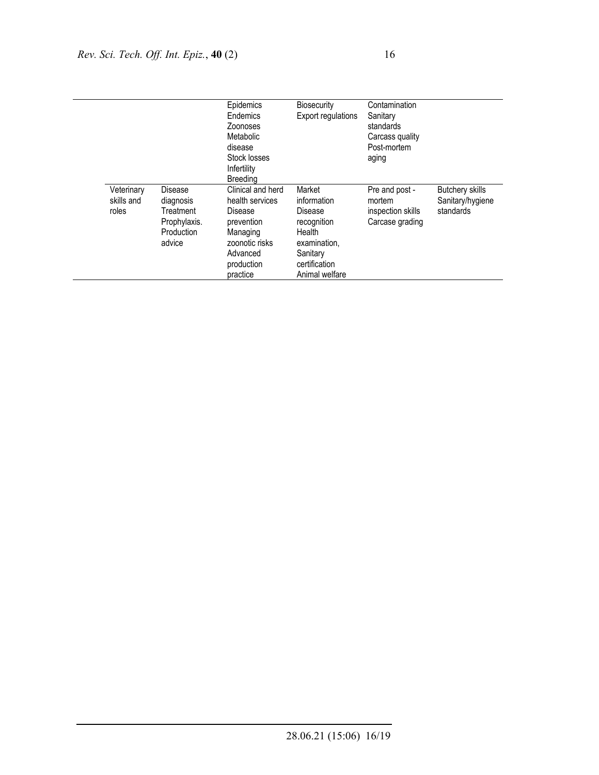|                                   |                                                                                  | Epidemics<br>Endemics<br>Zoonoses<br>Metabolic<br>disease<br>Stock losses                                                         | <b>Biosecurity</b><br>Export regulations                                                                                 | Contamination<br>Sanitary<br>standards<br>Carcass quality<br>Post-mortem<br>aging |                                                         |
|-----------------------------------|----------------------------------------------------------------------------------|-----------------------------------------------------------------------------------------------------------------------------------|--------------------------------------------------------------------------------------------------------------------------|-----------------------------------------------------------------------------------|---------------------------------------------------------|
|                                   |                                                                                  | Infertility<br>Breedina                                                                                                           |                                                                                                                          |                                                                                   |                                                         |
| Veterinary<br>skills and<br>roles | Disease<br>diagnosis<br>Treatment<br>Prophylaxis.<br><b>Production</b><br>advice | Clinical and herd<br>health services<br>Disease<br>prevention<br>Managing<br>zoonotic risks<br>Advanced<br>production<br>practice | Market<br>information<br>Disease<br>recognition<br>Health<br>examination,<br>Sanitary<br>certification<br>Animal welfare | Pre and post -<br>mortem<br>inspection skills<br>Carcase grading                  | <b>Butchery skills</b><br>Sanitary/hygiene<br>standards |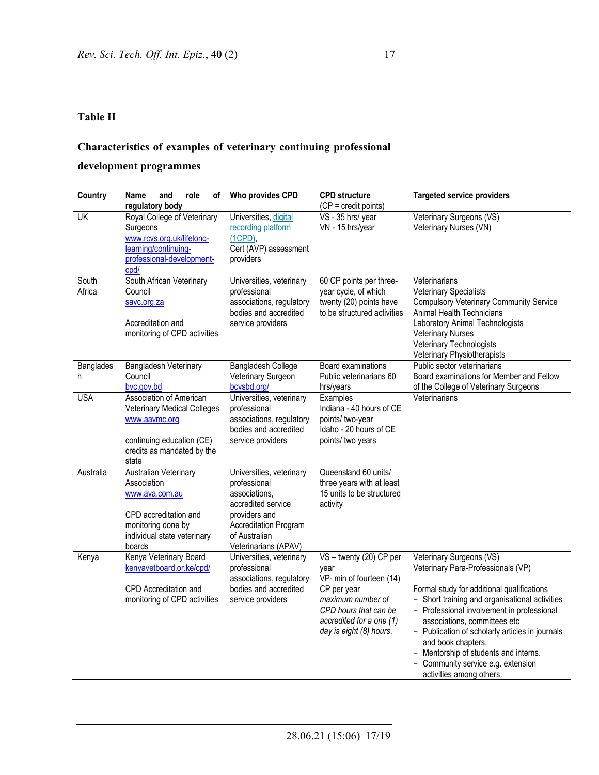### **Table II**

# **Characteristics of examples of veterinary continuing professional**

### **development programmes**

| Country                  | and<br>role<br>Name<br>οf                                                                                                                          | Who provides CPD                                                                                                                                                          | <b>CPD structure</b>                                                                                                                                                            | <b>Targeted service providers</b>                                                                                                                                                                                                                                                                                                                                                                                                |
|--------------------------|----------------------------------------------------------------------------------------------------------------------------------------------------|---------------------------------------------------------------------------------------------------------------------------------------------------------------------------|---------------------------------------------------------------------------------------------------------------------------------------------------------------------------------|----------------------------------------------------------------------------------------------------------------------------------------------------------------------------------------------------------------------------------------------------------------------------------------------------------------------------------------------------------------------------------------------------------------------------------|
|                          | regulatory body                                                                                                                                    |                                                                                                                                                                           | (CP = credit points)                                                                                                                                                            |                                                                                                                                                                                                                                                                                                                                                                                                                                  |
| $\overline{\mathsf{UK}}$ | Royal College of Veterinary<br>Surgeons<br>www.rcvs.org.uk/lifelong-<br>learning/continuing-<br>professional-development-<br>cpd/                  | Universities, digital<br>recording platform<br>$(1CPD)$ ,<br>Cert (AVP) assessment<br>providers                                                                           | VS - 35 hrs/ year<br>VN - 15 hrs/year                                                                                                                                           | Veterinary Surgeons (VS)<br>Veterinary Nurses (VN)                                                                                                                                                                                                                                                                                                                                                                               |
| South<br>Africa          | South African Veterinary<br>Council<br>savc.org.za<br>Accreditation and<br>monitoring of CPD activities                                            | Universities, veterinary<br>professional<br>associations, regulatory<br>bodies and accredited<br>service providers                                                        | 60 CP points per three-<br>year cycle, of which<br>twenty (20) points have<br>to be structured activities                                                                       | Veterinarians<br><b>Veterinary Specialists</b><br><b>Compulsory Veterinary Community Service</b><br>Animal Health Technicians<br>Laboratory Animal Technologists<br><b>Veterinary Nurses</b><br>Veterinary Technologists<br>Veterinary Physiotherapists                                                                                                                                                                          |
| <b>Banglades</b><br>h    | Bangladesh Veterinary<br>Council<br>bvc.gov.bd                                                                                                     | Bangladesh College<br>Veterinary Surgeon<br>bcvsbd.org/                                                                                                                   | <b>Board examinations</b><br>Public veterinarians 60<br>hrs/years                                                                                                               | Public sector veterinarians<br>Board examinations for Member and Fellow<br>of the College of Veterinary Surgeons                                                                                                                                                                                                                                                                                                                 |
| <b>USA</b>               | Association of American<br><b>Veterinary Medical Colleges</b><br>www.aavmc.org<br>continuing education (CE)<br>credits as mandated by the<br>state | Universities, veterinary<br>professional<br>associations, regulatory<br>bodies and accredited<br>service providers                                                        | Examples<br>Indiana - 40 hours of CE<br>points/ two-year<br>Idaho - 20 hours of CE<br>points/ two years                                                                         | Veterinarians                                                                                                                                                                                                                                                                                                                                                                                                                    |
| Australia                | Australian Veterinary<br>Association<br>www.ava.com.au<br>CPD accreditation and<br>monitoring done by<br>individual state veterinary<br>boards     | Universities, veterinary<br>professional<br>associations.<br>accredited service<br>providers and<br><b>Accreditation Program</b><br>of Australian<br>Veterinarians (APAV) | Queensland 60 units/<br>three years with at least<br>15 units to be structured<br>activity                                                                                      |                                                                                                                                                                                                                                                                                                                                                                                                                                  |
| Kenya                    | Kenya Veterinary Board<br>kenyavetboard.or.ke/cpd/<br>CPD Accreditation and<br>monitoring of CPD activities                                        | Universities, veterinary<br>professional<br>associations, regulatory<br>bodies and accredited<br>service providers                                                        | VS - twenty (20) CP per<br>year<br>VP- min of fourteen (14)<br>CP per year<br>maximum number of<br>CPD hours that can be<br>accredited for a one (1)<br>day is eight (8) hours. | Veterinary Surgeons (VS)<br>Veterinary Para-Professionals (VP)<br>Formal study for additional qualifications<br>- Short training and organisational activities<br>- Professional involvement in professional<br>associations, committees etc<br>- Publication of scholarly articles in journals<br>and book chapters.<br>- Mentorship of students and interns.<br>- Community service e.g. extension<br>activities among others. |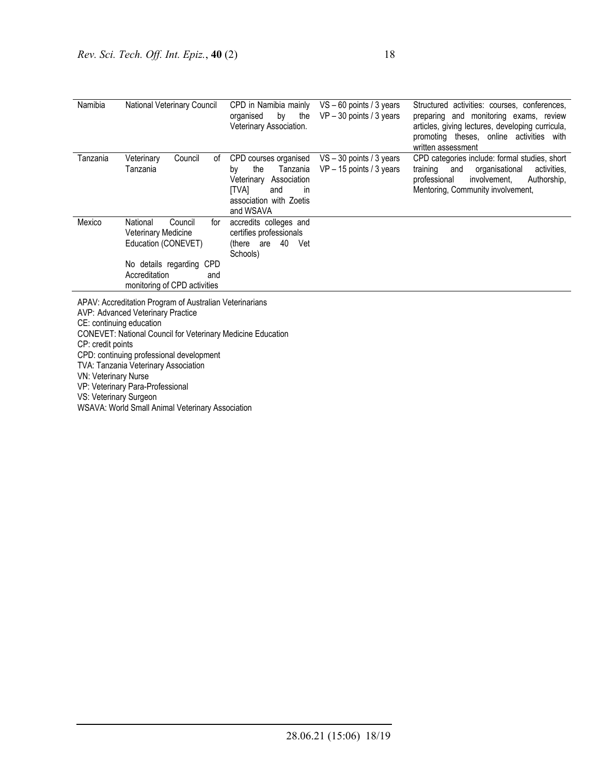| Namibia  | National Veterinary Council                                                                                                                                         | CPD in Namibia mainly<br>by the<br>organised<br>Veterinary Association.                                                                 | $VS - 60$ points / 3 years<br>$VP - 30$ points / 3 years | Structured activities: courses, conferences,<br>preparing and monitoring exams, review<br>articles, giving lectures, developing curricula,<br>promoting theses, online activities with<br>written assessment |
|----------|---------------------------------------------------------------------------------------------------------------------------------------------------------------------|-----------------------------------------------------------------------------------------------------------------------------------------|----------------------------------------------------------|--------------------------------------------------------------------------------------------------------------------------------------------------------------------------------------------------------------|
| Tanzania | Council<br>Veterinary<br>οf<br>Tanzania                                                                                                                             | CPD courses organised<br>the<br>Tanzania<br>bv<br>Veterinary Association<br>[TVA]<br>and<br>-in<br>association with Zoetis<br>and WSAVA | $VS - 30$ points / 3 years<br>$VP - 15$ points / 3 years | CPD categories include: formal studies, short<br>training<br>and<br>organisational<br>activities,<br>involvement,<br>professional<br>Authorship,<br>Mentoring, Community involvement,                        |
| Mexico   | National<br>Council<br>for<br><b>Veterinary Medicine</b><br>Education (CONEVET)<br>No details regarding CPD<br>Accreditation<br>and<br>monitoring of CPD activities | accredits colleges and<br>certifies professionals<br>(there are 40<br>Vet<br>Schools)                                                   |                                                          |                                                                                                                                                                                                              |

APAV: Accreditation Program of Australian Veterinarians AVP: Advanced Veterinary Practice CE: continuing education CONEVET: National Council for Veterinary Medicine Education CP: credit points CPD: continuing professional development TVA: Tanzania Veterinary Association VN: Veterinary Nurse

VP: Veterinary Para-Professional

VS: Veterinary Surgeon

WSAVA: World Small Animal Veterinary Association